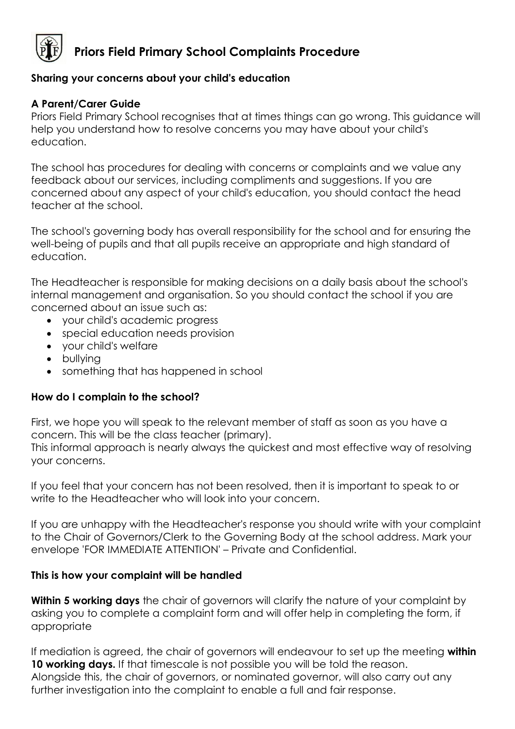

# **Priors Field Primary School Complaints Procedure**

## **Sharing your concerns about your child's education**

## **A Parent/Carer Guide**

Priors Field Primary School recognises that at times things can go wrong. This guidance will help you understand how to resolve concerns you may have about your child's education.

The school has procedures for dealing with concerns or complaints and we value any feedback about our services, including compliments and suggestions. If you are concerned about any aspect of your child's education, you should contact the head teacher at the school.

The school's governing body has overall responsibility for the school and for ensuring the well-being of pupils and that all pupils receive an appropriate and high standard of education.

The Headteacher is responsible for making decisions on a daily basis about the school's internal management and organisation. So you should contact the school if you are concerned about an issue such as:

- your child's academic progress
- special education needs provision
- your child's welfare
- bullying
- something that has happened in school

#### **How do I complain to the school?**

First, we hope you will speak to the relevant member of staff as soon as you have a concern. This will be the class teacher (primary).

This informal approach is nearly always the quickest and most effective way of resolving your concerns.

If you feel that your concern has not been resolved, then it is important to speak to or write to the Headteacher who will look into your concern.

If you are unhappy with the Headteacher's response you should write with your complaint to the Chair of Governors/Clerk to the Governing Body at the school address. Mark your envelope 'FOR IMMEDIATE ATTENTION' – Private and Confidential.

#### **This is how your complaint will be handled**

**Within 5 working days** the chair of governors will clarify the nature of your complaint by asking you to complete a complaint form and will offer help in completing the form, if appropriate

If mediation is agreed, the chair of governors will endeavour to set up the meeting **within**  10 working days. If that timescale is not possible you will be told the reason. Alongside this, the chair of governors, or nominated governor, will also carry out any further investigation into the complaint to enable a full and fair response.